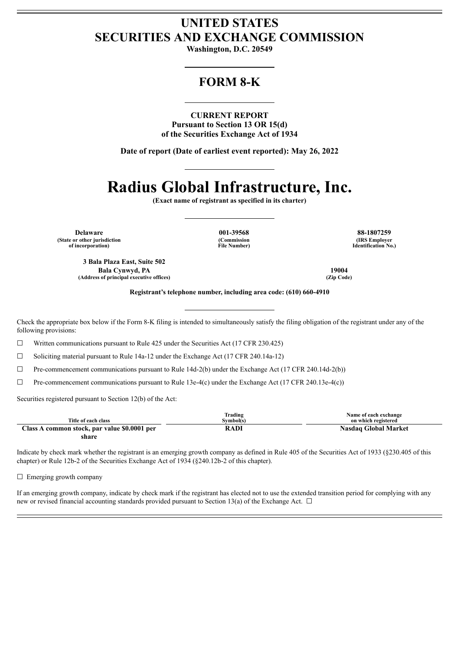## **UNITED STATES SECURITIES AND EXCHANGE COMMISSION**

**Washington, D.C. 20549**

## **FORM 8-K**

**CURRENT REPORT Pursuant to Section 13 OR 15(d) of the Securities Exchange Act of 1934**

**Date of report (Date of earliest event reported): May 26, 2022**

# **Radius Global Infrastructure, Inc.**

**(Exact name of registrant as specified in its charter)**

**Delaware 001-39568 88-1807259 (State or other jurisdiction of incorporation)**

**(Commission File Number)**

**(IRS Employer Identification No.)**

**3 Bala Plaza East, Suite 502 Bala Cynwyd, PA 19004 (Address of principal executive offices) (Zip Code)**

**Registrant's telephone number, including area code: (610) 660-4910**

Check the appropriate box below if the Form 8-K filing is intended to simultaneously satisfy the filing obligation of the registrant under any of the following provisions:

 $\Box$  Written communications pursuant to Rule 425 under the Securities Act (17 CFR 230.425)

☐ Soliciting material pursuant to Rule 14a-12 under the Exchange Act (17 CFR 240.14a-12)

 $\Box$  Pre-commencement communications pursuant to Rule 14d-2(b) under the Exchange Act (17 CFR 240.14d-2(b))

 $\Box$  Pre-commencement communications pursuant to Rule 13e-4(c) under the Exchange Act (17 CFR 240.13e-4(c))

Securities registered pursuant to Section 12(b) of the Act:

| Title of each class                          | Trading<br>Svmbol(s) | Name of each exchange<br>on which registered |
|----------------------------------------------|----------------------|----------------------------------------------|
| Class A common stock, par value \$0.0001 per | RADI                 | Nasdaq Global Market                         |
| share                                        |                      |                                              |

Indicate by check mark whether the registrant is an emerging growth company as defined in Rule 405 of the Securities Act of 1933 (§230.405 of this chapter) or Rule 12b-2 of the Securities Exchange Act of 1934 (§240.12b-2 of this chapter).

 $\Box$  Emerging growth company

If an emerging growth company, indicate by check mark if the registrant has elected not to use the extended transition period for complying with any new or revised financial accounting standards provided pursuant to Section 13(a) of the Exchange Act.  $\Box$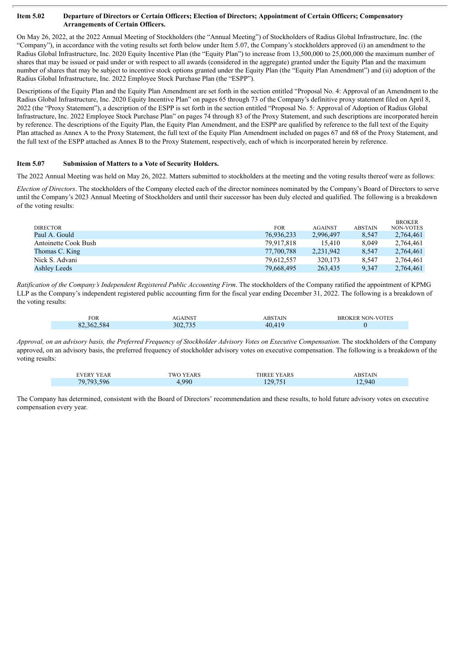#### Item 5.02 Departure of Directors or Certain Officers; Election of Directors; Appointment of Certain Officers; Compensatory **Arrangements of Certain Officers.**

On May 26, 2022, at the 2022 Annual Meeting of Stockholders (the "Annual Meeting") of Stockholders of Radius Global Infrastructure, Inc. (the "Company"), in accordance with the voting results set forth below under Item 5.07, the Company's stockholders approved (i) an amendment to the Radius Global Infrastructure, Inc. 2020 Equity Incentive Plan (the "Equity Plan") to increase from 13,500,000 to 25,000,000 the maximum number of shares that may be issued or paid under or with respect to all awards (considered in the aggregate) granted under the Equity Plan and the maximum number of shares that may be subject to incentive stock options granted under the Equity Plan (the "Equity Plan Amendment") and (ii) adoption of the Radius Global Infrastructure, Inc. 2022 Employee Stock Purchase Plan (the "ESPP").

Descriptions of the Equity Plan and the Equity Plan Amendment are set forth in the section entitled "Proposal No. 4: Approval of an Amendment to the Radius Global Infrastructure, Inc. 2020 Equity Incentive Plan" on pages 65 through 73 of the Company's definitive proxy statement filed on April 8, 2022 (the "Proxy Statement"), a description of the ESPP is set forth in the section entitled "Proposal No. 5: Approval of Adoption of Radius Global Infrastructure, Inc. 2022 Employee Stock Purchase Plan" on pages 74 through 83 of the Proxy Statement, and such descriptions are incorporated herein by reference. The descriptions of the Equity Plan, the Equity Plan Amendment, and the ESPP are qualified by reference to the full text of the Equity Plan attached as Annex A to the Proxy Statement, the full text of the Equity Plan Amendment included on pages 67 and 68 of the Proxy Statement, and the full text of the ESPP attached as Annex B to the Proxy Statement, respectively, each of which is incorporated herein by reference.

#### **Item 5.07 Submission of Matters to a Vote of Security Holders.**

The 2022 Annual Meeting was held on May 26, 2022. Matters submitted to stockholders at the meeting and the voting results thereof were as follows:

*Election of Directors*. The stockholders of the Company elected each of the director nominees nominated by the Company's Board of Directors to serve until the Company's 2023 Annual Meeting of Stockholders and until their successor has been duly elected and qualified. The following is a breakdown of the voting results:

|                      |            |                |                | <b>BROKER</b> |
|----------------------|------------|----------------|----------------|---------------|
| <b>DIRECTOR</b>      | <b>FOR</b> | <b>AGAINST</b> | <b>ABSTAIN</b> | NON-VOTES     |
| Paul A. Gould        | 76,936,233 | 2,996,497      | 8,547          | 2,764,461     |
| Antoinette Cook Bush | 79.917.818 | 15.410         | 8.049          | 2,764,461     |
| Thomas C. King       | 77,700,788 | 2,231,942      | 8.547          | 2,764,461     |
| Nick S. Advani       | 79,612,557 | 320.173        | 8.547          | 2,764,461     |
| Ashley Leeds         | 79,668,495 | 263,435        | 9.347          | 2,764,461     |
|                      |            |                |                |               |

*Ratification of the Company's Independent Registered Public Accounting Firm*. The stockholders of the Company ratified the appointment of KPMG LLP as the Company's independent registered public accounting firm for the fiscal year ending December 31, 2022. The following is a breakdown of the voting results:

| <b>FOR</b> | INS                | <b>BSTAIN</b> | NON-VOTES<br>кн |
|------------|--------------------|---------------|-----------------|
| 82.362.584 | $-\sim$ $-$<br>າດາ |               |                 |

Approval, on an advisory basis, the Preferred Frequency of Stockholder Advisory Votes on Executive Compensation. The stockholders of the Company approved, on an advisory basis, the preferred frequency of stockholder advisory votes on executive compensation. The following is a breakdown of the voting results:

| <b>EVERY YEAR</b> | <b>TWO YEARS</b> | <b>THREE YEARS</b> | <b>ABSTAIN</b> |
|-------------------|------------------|--------------------|----------------|
| 79,793,596        | .990.            | 129,751            | 12.940         |

The Company has determined, consistent with the Board of Directors' recommendation and these results, to hold future advisory votes on executive compensation every year.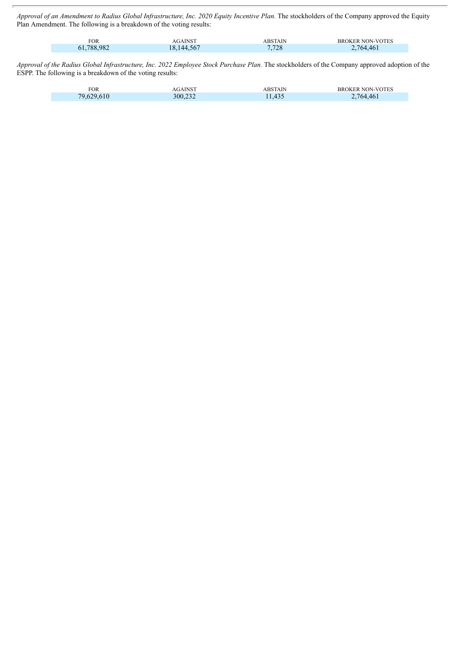Approval of an Amendment to Radius Global Infrastructure, Inc. 2020 Equity Incentive Plan. The stockholders of the Company approved the Equity Plan Amendment. The following is a breakdown of the voting results:

| FOR.       | <b>AGAINST</b> | <b>ABSTAIN</b> | <b>BROKER NON-VOTES</b> |
|------------|----------------|----------------|-------------------------|
| 61,788,982 | 18,144,567     | 7,728          | 2,764,461               |

Approval of the Radius Global Infrastructure, Inc. 2022 Employee Stock Purchase Plan. The stockholders of the Company approved adoption of the ESPP. The following is a breakdown of the voting results:

| <b>FOR</b> |         | <b>BSTAIN</b> | NON-VOTES<br>≺к |
|------------|---------|---------------|-----------------|
| 7Q.        | 300,232 | 1,435         | $764^{\circ}$   |
|            |         |               |                 |